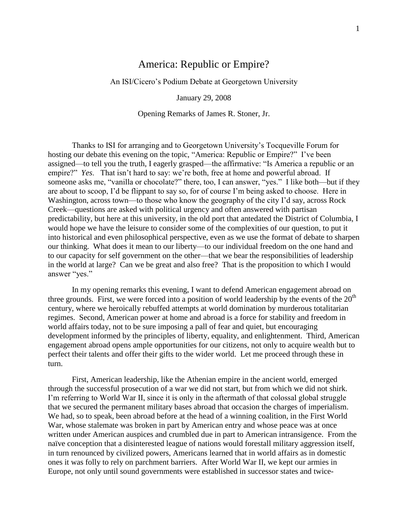## America: Republic or Empire?

An ISI/Cicero's Podium Debate at Georgetown University

January 29, 2008

Opening Remarks of James R. Stoner, Jr.

Thanks to ISI for arranging and to Georgetown University's Tocqueville Forum for hosting our debate this evening on the topic, "America: Republic or Empire?" I've been assigned—to tell you the truth, I eagerly grasped—the affirmative: "Is America a republic or an empire?" *Yes*. That isn't hard to say: we're both, free at home and powerful abroad. If someone asks me, "vanilla or chocolate?" there, too, I can answer, "yes." I like both—but if they are about to scoop, I'd be flippant to say so, for of course I'm being asked to choose. Here in Washington, across town—to those who know the geography of the city I'd say, across Rock Creek—questions are asked with political urgency and often answered with partisan predictability, but here at this university, in the old port that antedated the District of Columbia, I would hope we have the leisure to consider some of the complexities of our question, to put it into historical and even philosophical perspective, even as we use the format of debate to sharpen our thinking. What does it mean to our liberty—to our individual freedom on the one hand and to our capacity for self government on the other—that we bear the responsibilities of leadership in the world at large? Can we be great and also free? That is the proposition to which I would answer "yes."

In my opening remarks this evening, I want to defend American engagement abroad on three grounds. First, we were forced into a position of world leadership by the events of the  $20<sup>th</sup>$ century, where we heroically rebuffed attempts at world domination by murderous totalitarian regimes. Second, American power at home and abroad is a force for stability and freedom in world affairs today, not to be sure imposing a pall of fear and quiet, but encouraging development informed by the principles of liberty, equality, and enlightenment. Third, American engagement abroad opens ample opportunities for our citizens, not only to acquire wealth but to perfect their talents and offer their gifts to the wider world. Let me proceed through these in turn.

First, American leadership, like the Athenian empire in the ancient world, emerged through the successful prosecution of a war we did not start, but from which we did not shirk. I'm referring to World War II, since it is only in the aftermath of that colossal global struggle that we secured the permanent military bases abroad that occasion the charges of imperialism. We had, so to speak, been abroad before at the head of a winning coalition, in the First World War, whose stalemate was broken in part by American entry and whose peace was at once written under American auspices and crumbled due in part to American intransigence. From the naïve conception that a disinterested league of nations would forestall military aggression itself, in turn renounced by civilized powers, Americans learned that in world affairs as in domestic ones it was folly to rely on parchment barriers. After World War II, we kept our armies in Europe, not only until sound governments were established in successor states and twice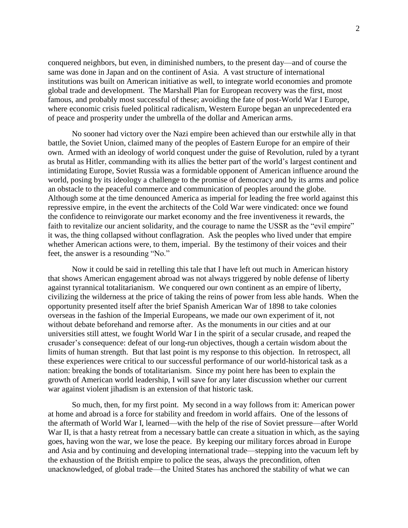conquered neighbors, but even, in diminished numbers, to the present day—and of course the same was done in Japan and on the continent of Asia. A vast structure of international institutions was built on American initiative as well, to integrate world economies and promote global trade and development. The Marshall Plan for European recovery was the first, most famous, and probably most successful of these; avoiding the fate of post-World War I Europe, where economic crisis fueled political radicalism, Western Europe began an unprecedented era of peace and prosperity under the umbrella of the dollar and American arms.

No sooner had victory over the Nazi empire been achieved than our erstwhile ally in that battle, the Soviet Union, claimed many of the peoples of Eastern Europe for an empire of their own. Armed with an ideology of world conquest under the guise of Revolution, ruled by a tyrant as brutal as Hitler, commanding with its allies the better part of the world's largest continent and intimidating Europe, Soviet Russia was a formidable opponent of American influence around the world, posing by its ideology a challenge to the promise of democracy and by its arms and police an obstacle to the peaceful commerce and communication of peoples around the globe. Although some at the time denounced America as imperial for leading the free world against this repressive empire, in the event the architects of the Cold War were vindicated: once we found the confidence to reinvigorate our market economy and the free inventiveness it rewards, the faith to revitalize our ancient solidarity, and the courage to name the USSR as the "evil empire" it was, the thing collapsed without conflagration. Ask the peoples who lived under that empire whether American actions were, to them, imperial. By the testimony of their voices and their feet, the answer is a resounding "No."

Now it could be said in retelling this tale that I have left out much in American history that shows American engagement abroad was not always triggered by noble defense of liberty against tyrannical totalitarianism. We conquered our own continent as an empire of liberty, civilizing the wilderness at the price of taking the reins of power from less able hands. When the opportunity presented itself after the brief Spanish American War of 1898 to take colonies overseas in the fashion of the Imperial Europeans, we made our own experiment of it, not without debate beforehand and remorse after. As the monuments in our cities and at our universities still attest, we fought World War I in the spirit of a secular crusade, and reaped the crusader's consequence: defeat of our long-run objectives, though a certain wisdom about the limits of human strength. But that last point is my response to this objection. In retrospect, all these experiences were critical to our successful performance of our world-historical task as a nation: breaking the bonds of totalitarianism. Since my point here has been to explain the growth of American world leadership, I will save for any later discussion whether our current war against violent jihadism is an extension of that historic task.

So much, then, for my first point. My second in a way follows from it: American power at home and abroad is a force for stability and freedom in world affairs. One of the lessons of the aftermath of World War I, learned—with the help of the rise of Soviet pressure—after World War II, is that a hasty retreat from a necessary battle can create a situation in which, as the saying goes, having won the war, we lose the peace. By keeping our military forces abroad in Europe and Asia and by continuing and developing international trade—stepping into the vacuum left by the exhaustion of the British empire to police the seas, always the precondition, often unacknowledged, of global trade—the United States has anchored the stability of what we can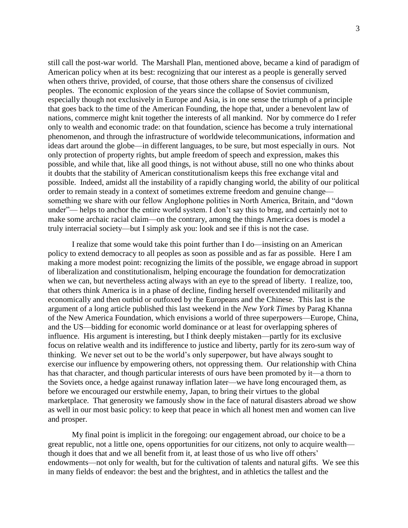still call the post-war world. The Marshall Plan, mentioned above, became a kind of paradigm of American policy when at its best: recognizing that our interest as a people is generally served when others thrive, provided, of course, that those others share the consensus of civilized peoples. The economic explosion of the years since the collapse of Soviet communism, especially though not exclusively in Europe and Asia, is in one sense the triumph of a principle that goes back to the time of the American Founding, the hope that, under a benevolent law of nations, commerce might knit together the interests of all mankind. Nor by commerce do I refer only to wealth and economic trade: on that foundation, science has become a truly international phenomenon, and through the infrastructure of worldwide telecommunications, information and ideas dart around the globe—in different languages, to be sure, but most especially in ours. Not only protection of property rights, but ample freedom of speech and expression, makes this possible, and while that, like all good things, is not without abuse, still no one who thinks about it doubts that the stability of American constitutionalism keeps this free exchange vital and possible. Indeed, amidst all the instability of a rapidly changing world, the ability of our political order to remain steady in a context of sometimes extreme freedom and genuine change something we share with our fellow Anglophone polities in North America, Britain, and "down under"— helps to anchor the entire world system. I don't say this to brag, and certainly not to make some archaic racial claim—on the contrary, among the things America does is model a truly interracial society—but I simply ask you: look and see if this is not the case.

I realize that some would take this point further than I do—insisting on an American policy to extend democracy to all peoples as soon as possible and as far as possible. Here I am making a more modest point: recognizing the limits of the possible, we engage abroad in support of liberalization and constitutionalism, helping encourage the foundation for democratization when we can, but nevertheless acting always with an eye to the spread of liberty. I realize, too, that others think America is in a phase of decline, finding herself overextended militarily and economically and then outbid or outfoxed by the Europeans and the Chinese. This last is the argument of a long article published this last weekend in the *New York Times* by Parag Khanna of the New America Foundation, which envisions a world of three superpowers—Europe, China, and the US—bidding for economic world dominance or at least for overlapping spheres of influence. His argument is interesting, but I think deeply mistaken—partly for its exclusive focus on relative wealth and its indifference to justice and liberty, partly for its zero-sum way of thinking. We never set out to be the world's only superpower, but have always sought to exercise our influence by empowering others, not oppressing them. Our relationship with China has that character, and though particular interests of ours have been promoted by it—a thorn to the Soviets once, a hedge against runaway inflation later—we have long encouraged them, as before we encouraged our erstwhile enemy, Japan, to bring their virtues to the global marketplace. That generosity we famously show in the face of natural disasters abroad we show as well in our most basic policy: to keep that peace in which all honest men and women can live and prosper.

My final point is implicit in the foregoing: our engagement abroad, our choice to be a great republic, not a little one, opens opportunities for our citizens, not only to acquire wealth though it does that and we all benefit from it, at least those of us who live off others' endowments—not only for wealth, but for the cultivation of talents and natural gifts. We see this in many fields of endeavor: the best and the brightest, and in athletics the tallest and the